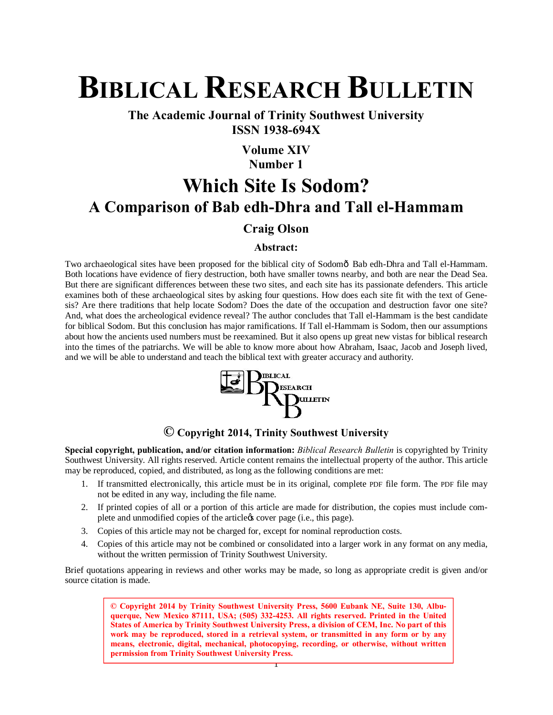# **BIBLICAL RESEARCH BULLETIN**

**The Academic Journal of Trinity Southwest University ISSN 1938-694X**

#### **Volume XIV Number 1**

## **Which Site Is Sodom? A Comparison of Bab edh-Dhra and Tall el-Hammam**

#### **Craig Olson**

#### **Abstract:**

Two archaeological sites have been proposed for the biblical city of Sodomô Bab edh-Dhra and Tall el-Hammam. Both locations have evidence of fiery destruction, both have smaller towns nearby, and both are near the Dead Sea. But there are significant differences between these two sites, and each site has its passionate defenders. This article examines both of these archaeological sites by asking four questions. How does each site fit with the text of Genesis? Are there traditions that help locate Sodom? Does the date of the occupation and destruction favor one site? And, what does the archeological evidence reveal? The author concludes that Tall el-Hammam is the best candidate for biblical Sodom. But this conclusion has major ramifications. If Tall el-Hammam is Sodom, then our assumptions about how the ancients used numbers must be reexamined. But it also opens up great new vistas for biblical research into the times of the patriarchs. We will be able to know more about how Abraham, Isaac, Jacob and Joseph lived, and we will be able to understand and teach the biblical text with greater accuracy and authority.



#### **© Copyright 2014, Trinity Southwest University**

**Special copyright, publication, and/or citation information:** *Biblical Research Bulletin* is copyrighted by Trinity Southwest University. All rights reserved. Article content remains the intellectual property of the author. This article may be reproduced, copied, and distributed, as long as the following conditions are met:

- 1. If transmitted electronically, this article must be in its original, complete PDF file form. The PDF file may not be edited in any way, including the file name.
- 2. If printed copies of all or a portion of this article are made for distribution, the copies must include complete and unmodified copies of the article *(i.e.*, this page).
- 3. Copies of this article may not be charged for, except for nominal reproduction costs.
- 4. Copies of this article may not be combined or consolidated into a larger work in any format on any media, without the written permission of Trinity Southwest University.

Brief quotations appearing in reviews and other works may be made, so long as appropriate credit is given and/or source citation is made.

> **© Copyright 2014 by Trinity Southwest University Press, 5600 Eubank NE, Suite 130, Albuquerque, New Mexico 87111, USA; (505) 332-4253. All rights reserved. Printed in the United States of America by Trinity Southwest University Press, a division of CEM, Inc. No part of this work may be reproduced, stored in a retrieval system, or transmitted in any form or by any means, electronic, digital, mechanical, photocopying, recording, or otherwise, without written permission from Trinity Southwest University Press.**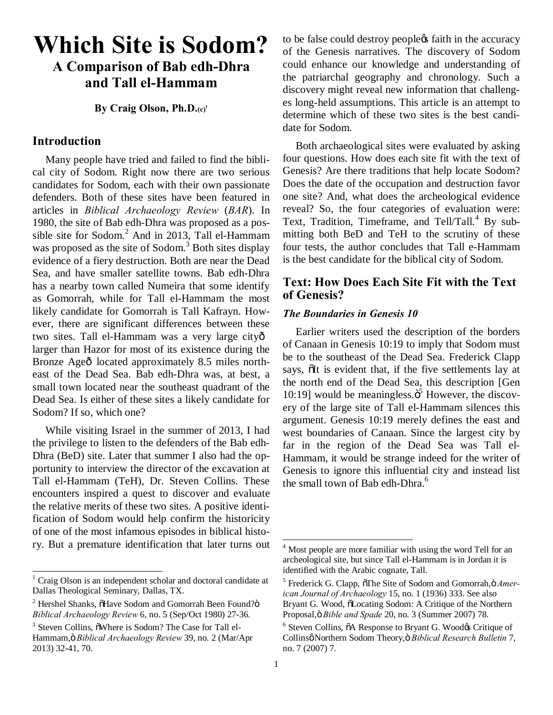### **Which Site is Sodom? A Comparison of Bab edh-Dhra and Tall el-Hammam**

**By Craig Olson, Ph.D.(c)1**

#### **Introduction**

Many people have tried and failed to find the biblical city of Sodom. Right now there are two serious candidates for Sodom, each with their own passionate defenders. Both of these sites have been featured in articles in *Biblical Archaeology Review* (*BAR*). In 1980, the site of Bab edh-Dhra was proposed as a possible site for Sodom.<sup>2</sup> And in 2013, Tall el-Hammam was proposed as the site of Sodom.<sup>3</sup> Both sites display evidence of a fiery destruction. Both are near the Dead Sea, and have smaller satellite towns. Bab edh-Dhra has a nearby town called Numeira that some identify as Gomorrah, while for Tall el-Hammam the most likely candidate for Gomorrah is Tall Kafrayn. However, there are significant differences between these two sites. Tall el-Hammam was a very large city larger than Hazor for most of its existence during the Bronze Ageô located approximately 8.5 miles northeast of the Dead Sea. Bab edh-Dhra was, at best, a small town located near the southeast quadrant of the Dead Sea. Is either of these sites a likely candidate for Sodom? If so, which one?

While visiting Israel in the summer of 2013, I had the privilege to listen to the defenders of the Bab edh-Dhra (BeD) site. Later that summer I also had the opportunity to interview the director of the excavation at Tall el-Hammam (TeH), Dr. Steven Collins. These encounters inspired a quest to discover and evaluate the relative merits of these two sites. A positive identification of Sodom would help confirm the historicity of one of the most infamous episodes in biblical history. But a premature identification that later turns out to be false could destroy people  $\alpha$  faith in the accuracy of the Genesis narratives. The discovery of Sodom could enhance our knowledge and understanding of the patriarchal geography and chronology. Such a discovery might reveal new information that challenges long-held assumptions. This article is an attempt to determine which of these two sites is the best candidate for Sodom.

Both archaeological sites were evaluated by asking four questions. How does each site fit with the text of Genesis? Are there traditions that help locate Sodom? Does the date of the occupation and destruction favor one site? And, what does the archeological evidence reveal? So, the four categories of evaluation were: Text, Tradition, Timeframe, and  $Tell/Tall.<sup>4</sup>$  By submitting both BeD and TeH to the scrutiny of these four tests, the author concludes that Tall e-Hammam is the best candidate for the biblical city of Sodom.

#### **Text: How Does Each Site Fit with the Text of Genesis?**

#### *The Boundaries in Genesis 10*

Earlier writers used the description of the borders of Canaan in Genesis 10:19 to imply that Sodom must be to the southeast of the Dead Sea. Frederick Clapp says,  $\delta$ It is evident that, if the five settlements lay at the north end of the Dead Sea, this description [Gen 10:19] would be meaningless. $\ddot{o}^5$  However, the discovery of the large site of Tall el-Hammam silences this argument. Genesis 10:19 merely defines the east and west boundaries of Canaan. Since the largest city by far in the region of the Dead Sea was Tall el-Hammam, it would be strange indeed for the writer of Genesis to ignore this influential city and instead list the small town of Bab edh-Dhra.<sup>6</sup>

 $1$  Craig Olson is an independent scholar and doctoral candidate at Dallas Theological Seminary, Dallas, TX.

 $2$  Hershel Shanks,  $\delta$ Have Sodom and Gomorrah Been Found? $\delta$ *Biblical Archaeology Review* 6, no. 5 (Sep/Oct 1980) 27-36.

 $3$  Steven Collins,  $\delta$ Where is Sodom? The Case for Tall el-Hammam," *Biblical Archaeology Review* 39, no. 2 (Mar/Apr 2013) 32-41, 70.

<sup>&</sup>lt;sup>4</sup> Most people are more familiar with using the word Tell for an archeological site, but since Tall el-Hammam is in Jordan it is identified with the Arabic cognate, Tall.

<sup>&</sup>lt;sup>5</sup> Frederick G. Clapp,  $\delta$ The Site of Sodom and Gomorrah, $\delta$  *American Journal of Archaeology* 15, no. 1 (1936) 333. See also Bryant G. Wood,  $\delta$ Locating Sodom: A Critique of the Northern Proposal, ö Bible and Spade 20, no. 3 (Summer 2007) 78.

 $6$  Steven Collins,  $\tilde{o}A$  Response to Bryant G. Wood $\alpha$  Critique of Collins' Northern Sodom Theory," *Biblical Research Bulletin* 7, no. 7 (2007) 7.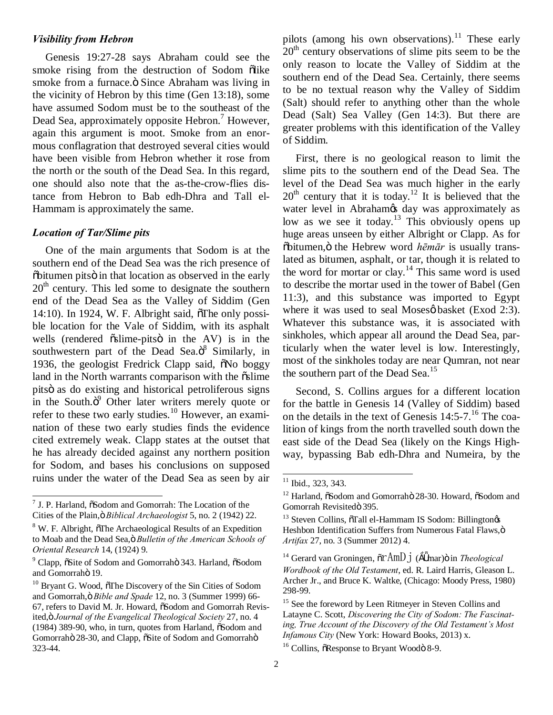#### *Visibility from Hebron*

Genesis 19:27-28 says Abraham could see the smoke rising from the destruction of Sodom õlike smoke from a furnace. $\ddot{o}$  Since Abraham was living in the vicinity of Hebron by this time (Gen 13:18), some have assumed Sodom must be to the southeast of the Dead Sea, approximately opposite Hebron.<sup>7</sup> However, again this argument is moot. Smoke from an enormous conflagration that destroyed several cities would have been visible from Hebron whether it rose from the north or the south of the Dead Sea. In this regard, one should also note that the as-the-crow-flies distance from Hebron to Bab edh-Dhra and Tall el-Hammam is approximately the same.

#### *Location of Tar/Slime pits*

One of the main arguments that Sodom is at the southern end of the Dead Sea was the rich presence of  $\ddot{\text{o}}$ bitumen pitsö in that location as observed in the early  $20<sup>th</sup>$  century. This led some to designate the southern end of the Dead Sea as the Valley of Siddim (Gen  $14:10$ ). In 1924, W. F. Albright said,  $\delta$ The only possible location for the Vale of Siddim, with its asphalt wells (rendered  $\tilde{o}$ slime-pits $\ddot{o}$  in the AV) is in the southwestern part of the Dead Sea. $\ddot{o}^8$  Similarly, in 1936, the geologist Fredrick Clapp said,  $\delta$ No boggy land in the North warrants comparison with the  $\tilde{\text{o}}$ slime pitsö as do existing and historical petroliferous signs in the South. $\ddot{o}^9$  Other later writers merely quote or refer to these two early studies.<sup>10</sup> However, an examination of these two early studies finds the evidence cited extremely weak. Clapp states at the outset that he has already decided against any northern position for Sodom, and bases his conclusions on supposed ruins under the water of the Dead Sea as seen by air

pilots (among his own observations).<sup>11</sup> These early  $20<sup>th</sup>$  century observations of slime pits seem to be the only reason to locate the Valley of Siddim at the southern end of the Dead Sea. Certainly, there seems to be no textual reason why the Valley of Siddim (Salt) should refer to anything other than the whole Dead (Salt) Sea Valley (Gen 14:3). But there are greater problems with this identification of the Valley of Siddim.

First, there is no geological reason to limit the slime pits to the southern end of the Dead Sea. The level of the Dead Sea was much higher in the early  $20<sup>th</sup>$  century that it is today.<sup>12</sup> It is believed that the water level in Abraham<sub>*s*</sub> day was approximately as low as we see it today.<sup>13</sup> This obviously opens up huge areas unseen by either Albright or Clapp. As for  $\delta$ bitumen, $\ddot{\text{o}}$  the Hebrew word *hēmār* is usually translated as bitumen, asphalt, or tar, though it is related to the word for mortar or clay.<sup>14</sup> This same word is used to describe the mortar used in the tower of Babel (Gen 11:3), and this substance was imported to Egypt where it was used to seal Moses $\varphi$  basket (Exod 2:3). Whatever this substance was, it is associated with sinkholes, which appear all around the Dead Sea, particularly when the water level is low. Interestingly, most of the sinkholes today are near Qumran, not near the southern part of the Dead Sea.<sup>15</sup>

Second, S. Collins argues for a different location for the battle in Genesis 14 (Valley of Siddim) based on the details in the text of Genesis  $14:5-7$ .<sup>16</sup> The coalition of kings from the north travelled south down the east side of the Dead Sea (likely on the Kings Highway, bypassing Bab edh-Dhra and Numeira, by the

 $<sup>7</sup>$  J. P. Harland,  $\delta$ Sodom and Gomorrah: The Location of the</sup> Cities of the Plain," *Biblical Archaeologist* 5, no. 2 (1942) 22.

 $8$  W. F. Albright,  $\sigma$ The Archaeological Results of an Expedition to Moab and the Dead Sea, ö Bulletin of the American Schools of *Oriental Research* 14, (1924) 9.

 $9^9$  Clapp,  $\delta$ Site of Sodom and Gomorrah $\ddot{o}$  343. Harland,  $\delta$ Sodom and Gomorrahö 19.

 $10$  Bryant G. Wood,  $\delta$ The Discovery of the Sin Cities of Sodom and Gomorrah, ö Bible and Spade 12, no. 3 (Summer 1999) 66-67, refers to David M. Jr. Howard,  $\delta$ Sodom and Gomorrah Revisited," *Journal of the Evangelical Theological Society* 27, no. 4  $(1984)$  389-90, who, in turn, quotes from Harland,  $\delta$ Sodom and Gomorrahö 28-30, and Clapp,  $\tilde{\text{c}}$ Site of Sodom and Gomorrahö 323-44.

<sup>&</sup>lt;sup>11</sup> Ibid., 323, 343.

<sup>&</sup>lt;sup>12</sup> Harland,  $\delta$ Sodom and Gomorrahö 28-30. Howard,  $\delta$ Sodom and Gomorrah Revisitedö 395.

<sup>&</sup>lt;sup>13</sup> Steven Collins,  $\tilde{o}$ Tall el-Hammam IS Sodom: Billington $\alpha$ s Heshbon Identification Suffers from Numerous Fatal Flaws, ö *Artifax* 27, no. 3 (Summer 2012) 4.

<sup>&</sup>lt;sup>14</sup> Gerard van Groningen,  $\tilde{o}rAmDj$  (mar) $\ddot{o}$  in *Theological Wordbook of the Old Testament*, ed. R. Laird Harris, Gleason L. Archer Jr., and Bruce K. Waltke, (Chicago: Moody Press, 1980) 298-99.

<sup>&</sup>lt;sup>15</sup> See the foreword by Leen Ritmeyer in Steven Collins and Latayne C. Scott, *Discovering the City of Sodom: The Fascinating, True Account of the Discovery of the Old Testament's Most Infamous City* (New York: Howard Books, 2013) x.

 $16$  Collins,  $\delta$ Response to Bryant Woodö 8-9.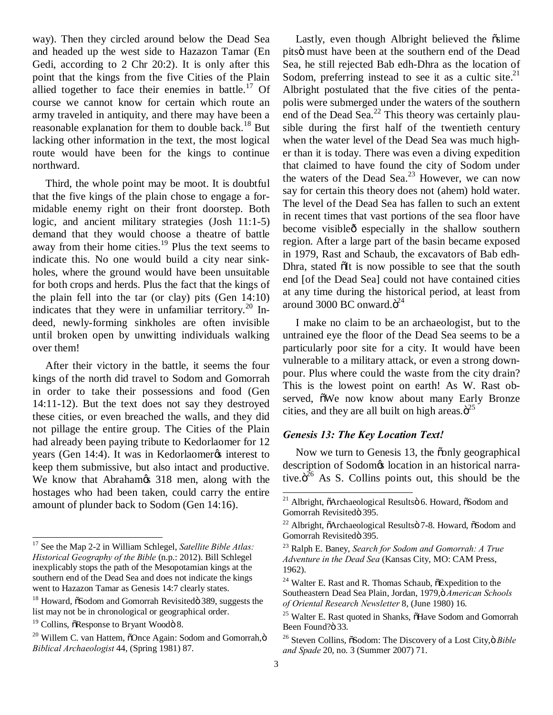way). Then they circled around below the Dead Sea and headed up the west side to Hazazon Tamar (En Gedi, according to 2 Chr 20:2). It is only after this point that the kings from the five Cities of the Plain allied together to face their enemies in battle.<sup>17</sup> Of course we cannot know for certain which route an army traveled in antiquity, and there may have been a reasonable explanation for them to double back.<sup>18</sup> But lacking other information in the text, the most logical route would have been for the kings to continue northward.

Third, the whole point may be moot. It is doubtful that the five kings of the plain chose to engage a formidable enemy right on their front doorstep. Both logic, and ancient military strategies (Josh 11:1-5) demand that they would choose a theatre of battle away from their home cities.<sup>19</sup> Plus the text seems to indicate this. No one would build a city near sinkholes, where the ground would have been unsuitable for both crops and herds. Plus the fact that the kings of the plain fell into the tar (or clay) pits (Gen 14:10) indicates that they were in unfamiliar territory.<sup>20</sup> Indeed, newly-forming sinkholes are often invisible until broken open by unwitting individuals walking over them!

After their victory in the battle, it seems the four kings of the north did travel to Sodom and Gomorrah in order to take their possessions and food (Gen 14:11-12). But the text does not say they destroyed these cities, or even breached the walls, and they did not pillage the entire group. The Cities of the Plain had already been paying tribute to Kedorlaomer for 12 years (Gen 14:4). It was in Kedorlaomer interest to keep them submissive, but also intact and productive. We know that Abraham  $\infty$  318 men, along with the hostages who had been taken, could carry the entire amount of plunder back to Sodom (Gen 14:16).

Lastly, even though Albright believed the  $\tilde{a}$ slime pitsö must have been at the southern end of the Dead Sea, he still rejected Bab edh-Dhra as the location of Sodom, preferring instead to see it as a cultic site.<sup>21</sup> Albright postulated that the five cities of the pentapolis were submerged under the waters of the southern end of the Dead Sea. $^{22}$  This theory was certainly plausible during the first half of the twentieth century when the water level of the Dead Sea was much higher than it is today. There was even a diving expedition that claimed to have found the city of Sodom under the waters of the Dead Sea.<sup>23</sup> However, we can now say for certain this theory does not (ahem) hold water. The level of the Dead Sea has fallen to such an extent in recent times that vast portions of the sea floor have become visible<sub>0</sub> especially in the shallow southern region. After a large part of the basin became exposed in 1979, Rast and Schaub, the excavators of Bab edh-Dhra, stated  $\delta$ It is now possible to see that the south end [of the Dead Sea] could not have contained cities at any time during the historical period, at least from around 3000 BC onward. $\ddot{\text{o}}^{24}$ 

I make no claim to be an archaeologist, but to the untrained eye the floor of the Dead Sea seems to be a particularly poor site for a city. It would have been vulnerable to a military attack, or even a strong downpour. Plus where could the waste from the city drain? This is the lowest point on earth! As W. Rast observed,  $\delta$ We now know about many Early Bronze cities, and they are all built on high areas. $\ddot{o}^{25}$ 

#### *Genesis 13: The Key Location Text!*

Now we turn to Genesis 13, the conly geographical description of Sodom $\alpha$  location in an historical narrative. $\ddot{\mathrm{o}}^{26}$  As S. Collins points out, this should be the

 <sup>17</sup> See the Map 2-2 in William Schlegel, *Satellite Bible Atlas: Historical Geography of the Bible* (n.p.: 2012). Bill Schlegel inexplicably stops the path of the Mesopotamian kings at the southern end of the Dead Sea and does not indicate the kings went to Hazazon Tamar as Genesis 14:7 clearly states.

<sup>&</sup>lt;sup>18</sup> Howard,  $\ddot{\text{o}}$ Sodom and Gomorrah Revisitedö 389, suggests the list may not be in chronological or geographical order.

 $19$  Collins,  $\delta$ Response to Bryant Woodö 8.

 $20$  Willem C. van Hattem,  $\delta$ Once Again: Sodom and Gomorrah, $\ddot{o}$ *Biblical Archaeologist* 44, (Spring 1981) 87.

<sup>&</sup>lt;sup>21</sup> Albright, õArchaeological Resultsö 6. Howard, õSodom and Gomorrah Revisitedö 395.

<sup>&</sup>lt;sup>22</sup> Albright, õArchaeological Resultsö 7-8. Howard,  $\tilde{\alpha}$ Sodom and Gomorrah Revisitedö 395.

<sup>23</sup> Ralph E. Baney, *Search for Sodom and Gomorrah: A True Adventure in the Dead Sea* (Kansas City, MO: CAM Press, 1962).

 $24$  Walter E. Rast and R. Thomas Schaub,  $\delta$ Expedition to the Southeastern Dead Sea Plain, Jordan, 1979,ö American Schools *of Oriental Research Newsletter* 8, (June 1980) 16.

<sup>&</sup>lt;sup>25</sup> Walter E. Rast quoted in Shanks,  $\tilde{o}$ Have Sodom and Gomorrah Been Found?ö 33.

<sup>&</sup>lt;sup>26</sup> Steven Collins,  $\delta$ Sodom: The Discovery of a Lost City,  $\delta$  *Bible and Spade* 20, no. 3 (Summer 2007) 71.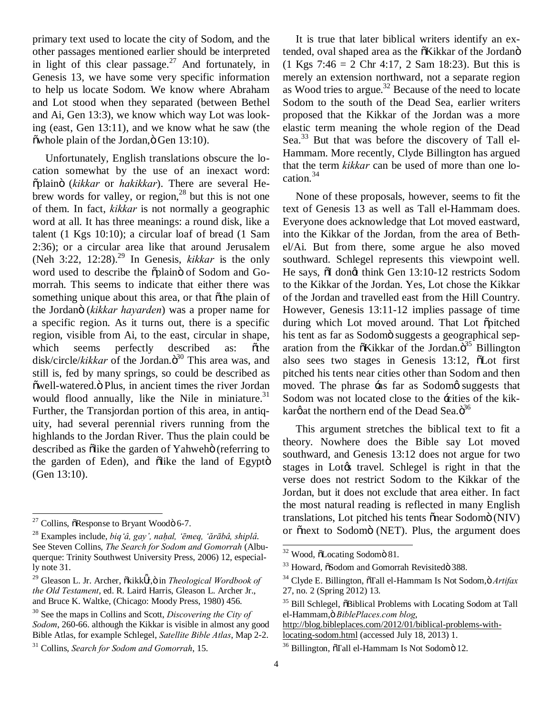primary text used to locate the city of Sodom, and the other passages mentioned earlier should be interpreted in light of this clear passage.<sup>27</sup> And fortunately, in Genesis 13, we have some very specific information to help us locate Sodom. We know where Abraham and Lot stood when they separated (between Bethel and Ai, Gen 13:3), we know which way Lot was looking (east, Gen 13:11), and we know what he saw (the  $\tilde{\text{ow}}$ hole plain of the Jordan, $\ddot{\text{o}}$  Gen 13:10).

Unfortunately, English translations obscure the location somewhat by the use of an inexact word: "plain" (*kikkar* or *hakikkar*). There are several Hebrew words for valley, or region,  $28$  but this is not one of them. In fact, *kikkar* is not normally a geographic word at all. It has three meanings: a round disk, like a talent (1 Kgs 10:10); a circular loaf of bread (1 Sam 2:36); or a circular area like that around Jerusalem (Neh  $3:22$ ,  $12:28$ ).<sup>29</sup> In Genesis, *kikkar* is the only word used to describe the oplain of Sodom and Gomorrah. This seems to indicate that either there was something unique about this area, or that othe plain of the Jordan" (*kikkar hayarden*) was a proper name for a specific region. As it turns out, there is a specific region, visible from Ai, to the east, circular in shape, which seems perfectly described as:  $\tilde{o}$ the disk/circle/*kikkar* of the Jordan.<sup>30</sup> This area was, and still is, fed by many springs, so could be described as õwell-watered. Ö Plus, in ancient times the river Jordan would flood annually, like the Nile in miniature.<sup>31</sup> Further, the Transjordan portion of this area, in antiquity, had several perennial rivers running from the highlands to the Jordan River. Thus the plain could be described as õlike the garden of Yahwehö (referring to the garden of Eden), and õlike the land of Egyptö (Gen 13:10).

It is true that later biblical writers identify an extended, oval shaped area as the  $\tilde{o}Kikkar$  of the Jordanö  $(1 \text{ Kgs } 7:46 = 2 \text{ Chr } 4:17, 2 \text{ Sam } 18:23)$ . But this is merely an extension northward, not a separate region as Wood tries to argue.<sup>32</sup> Because of the need to locate Sodom to the south of the Dead Sea, earlier writers proposed that the Kikkar of the Jordan was a more elastic term meaning the whole region of the Dead Sea.<sup>33</sup> But that was before the discovery of Tall el-Hammam. More recently, Clyde Billington has argued that the term *kikkar* can be used of more than one location.<sup>34</sup>

None of these proposals, however, seems to fit the text of Genesis 13 as well as Tall el-Hammam does. Everyone does acknowledge that Lot moved eastward, into the Kikkar of the Jordan, from the area of Bethel/Ai. But from there, some argue he also moved southward. Schlegel represents this viewpoint well. He says,  $\ddot{\text{o}}$ I dong think Gen 13:10-12 restricts Sodom to the Kikkar of the Jordan. Yes, Lot chose the Kikkar of the Jordan and travelled east from the Hill Country. However, Genesis 13:11-12 implies passage of time during which Lot moved around. That Lot õpitched his tent as far as Sodomö suggests a geographical separation from the  $\tilde{o}$ Kikkar of the Jordan. $\tilde{o}^{35}$ Billington also sees two stages in Genesis  $13:12$ ,  $\delta$ Lot first pitched his tents near cities other than Sodom and then moved. The phrase  $\div$ as far as Sodom $\phi$  suggests that Sodom was not located close to the  $\div$ cities of the kikkarøat the northern end of the Dead Sea. $\ddot{\rm o}^{36}$ 

This argument stretches the biblical text to fit a theory. Nowhere does the Bible say Lot moved southward, and Genesis 13:12 does not argue for two stages in Lot $\alpha$  travel. Schlegel is right in that the verse does not restrict Sodom to the Kikkar of the Jordan, but it does not exclude that area either. In fact the most natural reading is reflected in many English translations, Lot pitched his tents õnear Sodomö (NIV) or õnext to Sodomö (NET). Plus, the argument does

 $27$  Collins,  $\delta$ Response to Bryant Woodö 6-7.

<sup>28</sup> Examples include, *biq'â, gay', naḥal, 'ēmeq, 'ărābâ, shiplâ*. See Steven Collins, *The Search for Sodom and Gomorrah* (Albuquerque: Trinity Southwest University Press, 2006) 12, especially note 31.

<sup>&</sup>lt;sup>29</sup> Gleason L. Jr. Archer, õkikk r,ö in *Theological Wordbook of the Old Testament*, ed. R. Laird Harris, Gleason L. Archer Jr., and Bruce K. Waltke, (Chicago: Moody Press, 1980) 456.

<sup>30</sup> See the maps in Collins and Scott, *Discovering the City of Sodom*, 260-66. although the Kikkar is visible in almost any good Bible Atlas, for example Schlegel, *Satellite Bible Atlas*, Map 2-2.

<sup>31</sup> Collins, *Search for Sodom and Gomorrah*, 15.

 $32$  Wood,  $\delta$ Locating Sodomö 81.

<sup>&</sup>lt;sup>33</sup> Howard,  $\tilde{\text{os}}$ odom and Gomorrah Revisitedö 388.

<sup>&</sup>lt;sup>34</sup> Clyde E. Billington,  $\tilde{\sigma}$ Tall el-Hammam Is Not Sodom, $\ddot{\sigma}$  *Artifax* 27, no. 2 (Spring 2012) 13.

<sup>&</sup>lt;sup>35</sup> Bill Schlegel,  $\ddot{\text{o}}$ Biblical Problems with Locating Sodom at Tall el-Hammam, ö BiblePlaces.com blog,

http://blog.bibleplaces.com/2012/01/biblical-problems-withlocating-sodom.html (accessed July 18, 2013) 1.

<sup>&</sup>lt;sup>36</sup> Billington, õTall el-Hammam Is Not Sodomö 12.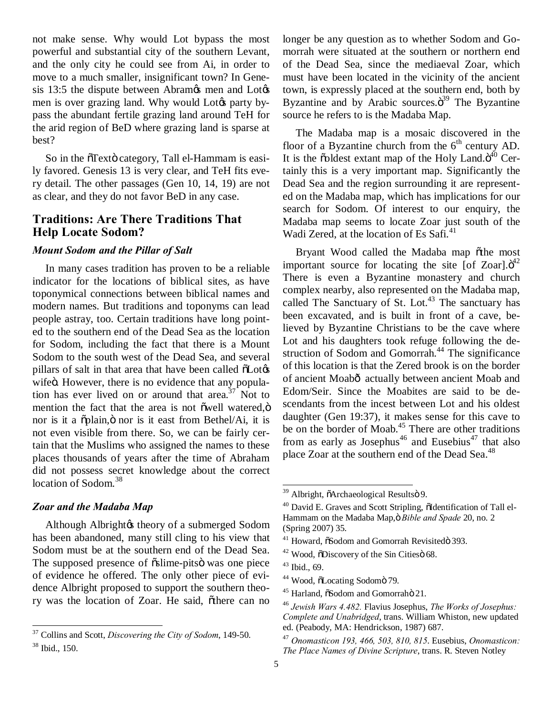not make sense. Why would Lot bypass the most powerful and substantial city of the southern Levant, and the only city he could see from Ai, in order to move to a much smaller, insignificant town? In Genesis 13:5 the dispute between Abram $\alpha$ s men and Lot $\alpha$ men is over grazing land. Why would Lot $\alpha$  party bypass the abundant fertile grazing land around TeH for the arid region of BeD where grazing land is sparse at best?

So in the oTexto category, Tall el-Hammam is easily favored. Genesis 13 is very clear, and TeH fits every detail. The other passages (Gen 10, 14, 19) are not as clear, and they do not favor BeD in any case.

#### **Traditions: Are There Traditions That Help Locate Sodom?**

#### *Mount Sodom and the Pillar of Salt*

In many cases tradition has proven to be a reliable indicator for the locations of biblical sites, as have toponymical connections between biblical names and modern names. But traditions and toponyms can lead people astray, too. Certain traditions have long pointed to the southern end of the Dead Sea as the location for Sodom, including the fact that there is a Mount Sodom to the south west of the Dead Sea, and several pillars of salt in that area that have been called  $\delta$ Lot $\&$ wifeö. However, there is no evidence that any population has ever lived on or around that area.<sup>37</sup> Not to mention the fact that the area is not õwell watered, $\ddot{o}$ nor is it a  $\tilde{p}$ plain,  $\ddot{o}$  nor is it east from Bethel/Ai, it is not even visible from there. So, we can be fairly certain that the Muslims who assigned the names to these places thousands of years after the time of Abraham did not possess secret knowledge about the correct location of Sodom.<sup>38</sup>

#### *Zoar and the Madaba Map*

Although Albrightøs theory of a submerged Sodom has been abandoned, many still cling to his view that Sodom must be at the southern end of the Dead Sea. The supposed presence of  $\tilde{\alpha}$ slime-pits was one piece of evidence he offered. The only other piece of evidence Albright proposed to support the southern theory was the location of Zoar. He said, õthere can no longer be any question as to whether Sodom and Gomorrah were situated at the southern or northern end of the Dead Sea, since the mediaeval Zoar, which must have been located in the vicinity of the ancient town, is expressly placed at the southern end, both by Byzantine and by Arabic sources. $\ddot{o}^{39}$  The Byzantine source he refers to is the Madaba Map.

The Madaba map is a mosaic discovered in the floor of a Byzantine church from the  $6<sup>th</sup>$  century AD. It is the  $\ddot{\text{o}}$ oldest extant map of the Holy Land. $\ddot{\text{o}}^{40}$  Certainly this is a very important map. Significantly the Dead Sea and the region surrounding it are represented on the Madaba map, which has implications for our search for Sodom. Of interest to our enquiry, the Madaba map seems to locate Zoar just south of the Wadi Zered, at the location of Es Safi. $41$ 

Bryant Wood called the Madaba map õthe most important source for locating the site [of Zoar]. $\ddot{o}^{42}$ There is even a Byzantine monastery and church complex nearby, also represented on the Madaba map, called The Sanctuary of St. Lot.<sup>43</sup> The sanctuary has been excavated, and is built in front of a cave, believed by Byzantine Christians to be the cave where Lot and his daughters took refuge following the destruction of Sodom and Gomorrah.<sup>44</sup> The significance of this location is that the Zered brook is on the border of ancient Moabô actually between ancient Moab and Edom/Seir. Since the Moabites are said to be descendants from the incest between Lot and his oldest daughter (Gen 19:37), it makes sense for this cave to be on the border of Moab.<sup>45</sup> There are other traditions from as early as Josephus<sup>46</sup> and Eusebius<sup>47</sup> that also place Zoar at the southern end of the Dead Sea.<sup>48</sup>

 <sup>37</sup> Collins and Scott, *Discovering the City of Sodom*, 149-50. <sup>38</sup> Ibid., 150.

<sup>&</sup>lt;sup>39</sup> Albright, õArchaeological Resultsö 9.

 $40$  David E. Graves and Scott Stripling,  $\delta$ Identification of Tall el-Hammam on the Madaba Map, ö Bible and Spade 20, no. 2 (Spring 2007) 35.

<sup>&</sup>lt;sup>41</sup> Howard,  $\tilde{\text{eS}}$ odom and Gomorrah Revisitedö 393.

 $42$  Wood,  $\ddot{\text{o}}$ Discovery of the Sin Cities  $\ddot{\text{o}}$  68.

 $43$  Ibid., 69.

<sup>&</sup>lt;sup>44</sup> Wood, õLocating Sodomö 79.

<sup>&</sup>lt;sup>45</sup> Harland,  $\tilde{\text{eSodom}}$  and Gomorrahö 21.

<sup>46</sup> *Jewish Wars 4.482.* Flavius Josephus, *The Works of Josephus: Complete and Unabridged*, trans. William Whiston, new updated ed. (Peabody, MA: Hendrickson, 1987) 687.

<sup>47</sup> *Onomasticon 193, 466, 503, 810, 815*. Eusebius, *Onomasticon: The Place Names of Divine Scripture*, trans. R. Steven Notley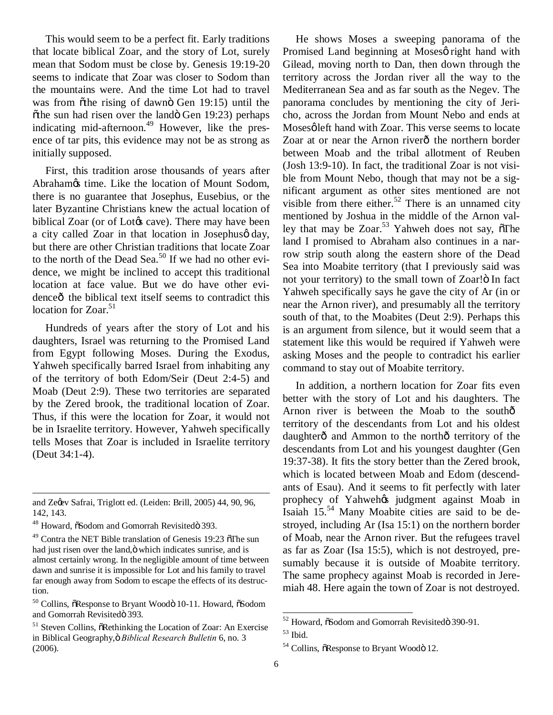This would seem to be a perfect fit. Early traditions that locate biblical Zoar, and the story of Lot, surely mean that Sodom must be close by. Genesis 19:19-20 seems to indicate that Zoar was closer to Sodom than the mountains were. And the time Lot had to travel was from õthe rising of dawnö Gen 19:15) until the  $\ddot{\text{o}}$ the sun had risen over the land $\ddot{\text{o}}$  Gen 19:23) perhaps indicating mid-afternoon.<sup>49</sup> However, like the presence of tar pits, this evidence may not be as strong as initially supposed.

First, this tradition arose thousands of years after Abrahamøs time. Like the location of Mount Sodom, there is no guarantee that Josephus, Eusebius, or the later Byzantine Christians knew the actual location of biblical Zoar (or of Lot $\&$  cave). There may have been a city called Zoar in that location in Josephus day, but there are other Christian traditions that locate Zoar to the north of the Dead Sea.<sup>50</sup> If we had no other evidence, we might be inclined to accept this traditional location at face value. But we do have other evidenceô the biblical text itself seems to contradict this location for Zoar. $51$ 

Hundreds of years after the story of Lot and his daughters, Israel was returning to the Promised Land from Egypt following Moses. During the Exodus, Yahweh specifically barred Israel from inhabiting any of the territory of both Edom/Seir (Deut 2:4-5) and Moab (Deut 2:9). These two territories are separated by the Zered brook, the traditional location of Zoar. Thus, if this were the location for Zoar, it would not be in Israelite territory. However, Yahweh specifically tells Moses that Zoar is included in Israelite territory (Deut 34:1-4).

 $\overline{a}$ 

He shows Moses a sweeping panorama of the Promised Land beginning at Mosesø right hand with Gilead, moving north to Dan, then down through the territory across the Jordan river all the way to the Mediterranean Sea and as far south as the Negev. The panorama concludes by mentioning the city of Jericho, across the Jordan from Mount Nebo and ends at Moses gleft hand with Zoar. This verse seems to locate Zoar at or near the Arnon riverô the northern border between Moab and the tribal allotment of Reuben (Josh 13:9-10). In fact, the traditional Zoar is not visible from Mount Nebo, though that may not be a significant argument as other sites mentioned are not visible from there either.<sup>52</sup> There is an unnamed city mentioned by Joshua in the middle of the Arnon valley that may be  $Zoar.53$  Yahweh does not say,  $\delta$ The land I promised to Abraham also continues in a narrow strip south along the eastern shore of the Dead Sea into Moabite territory (that I previously said was not your territory) to the small town of Zoar! In fact Yahweh specifically says he gave the city of Ar (in or near the Arnon river), and presumably all the territory south of that, to the Moabites (Deut 2:9). Perhaps this is an argument from silence, but it would seem that a statement like this would be required if Yahweh were asking Moses and the people to contradict his earlier command to stay out of Moabite territory.

In addition, a northern location for Zoar fits even better with the story of Lot and his daughters. The Arnon river is between the Moab to the southô territory of the descendants from Lot and his oldest daughter<sub>o</sub> and Ammon to the north<sup>o</sup> territory of the descendants from Lot and his youngest daughter (Gen 19:37-38). It fits the story better than the Zered brook, which is located between Moab and Edom (descendants of Esau). And it seems to fit perfectly with later prophecy of Yahweh $\alpha$  judgment against Moab in Isaiah  $15^{54}$  Many Moabite cities are said to be destroyed, including Ar (Isa 15:1) on the northern border of Moab, near the Arnon river. But the refugees travel as far as Zoar (Isa 15:5), which is not destroyed, presumably because it is outside of Moabite territory. The same prophecy against Moab is recorded in Jeremiah 48. Here again the town of Zoar is not destroyed.

and Zegev Safrai, Triglott ed. (Leiden: Brill, 2005) 44, 90, 96, 142, 143.

<sup>&</sup>lt;sup>48</sup> Howard,  $\delta$ Sodom and Gomorrah Revisited $\ddot{o}$  393.

 $49$  Contra the NET Bible translation of Genesis 19:23  $\sigma$ The sun had just risen over the land,  $\ddot{o}$  which indicates sunrise, and is almost certainly wrong. In the negligible amount of time between dawn and sunrise it is impossible for Lot and his family to travel far enough away from Sodom to escape the effects of its destruction.

 $50$  Collins,  $\delta$ Response to Bryant Woodö 10-11. Howard,  $\delta$ Sodom and Gomorrah Revisitedö 393.

 $<sup>51</sup>$  Steven Collins,  $\delta$ Rethinking the Location of Zoar: An Exercise</sup> in Biblical Geography, ö Biblical Research Bulletin 6, no. 3 (2006).

<sup>&</sup>lt;sup>52</sup> Howard,  $\delta$ Sodom and Gomorrah Revisitedö 390-91.

 $53$  Ibid.

 $54$  Collins,  $\delta$ Response to Bryant Woodö 12.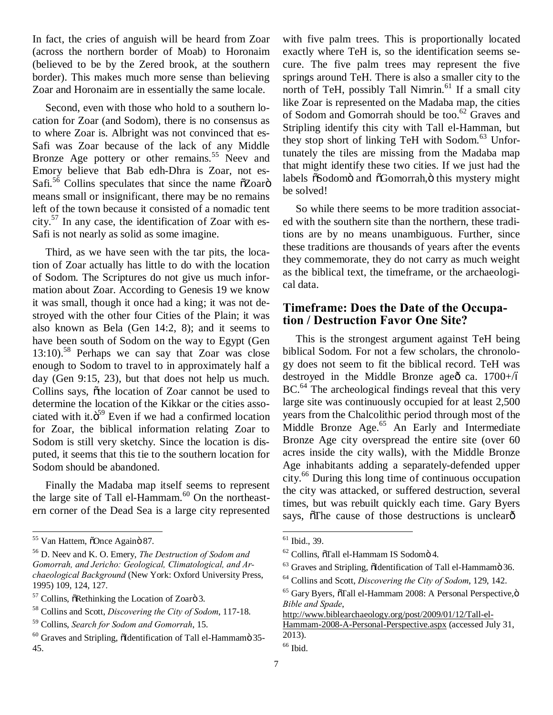In fact, the cries of anguish will be heard from Zoar (across the northern border of Moab) to Horonaim (believed to be by the Zered brook, at the southern border). This makes much more sense than believing Zoar and Horonaim are in essentially the same locale.

Second, even with those who hold to a southern location for Zoar (and Sodom), there is no consensus as to where Zoar is. Albright was not convinced that es-Safi was Zoar because of the lack of any Middle Bronze Age pottery or other remains.<sup>55</sup> Neev and Emory believe that Bab edh-Dhra is Zoar, not es-Safi.<sup>56</sup> Collins speculates that since the name  $\tilde{o}Zo$ ar $\tilde{o}$ means small or insignificant, there may be no remains left of the town because it consisted of a nomadic tent  $\text{city.}^{57}$  In any case, the identification of Zoar with es-Safi is not nearly as solid as some imagine.

Third, as we have seen with the tar pits, the location of Zoar actually has little to do with the location of Sodom. The Scriptures do not give us much information about Zoar. According to Genesis 19 we know it was small, though it once had a king; it was not destroyed with the other four Cities of the Plain; it was also known as Bela (Gen 14:2, 8); and it seems to have been south of Sodom on the way to Egypt (Gen  $13:10$ .<sup>58</sup> Perhaps we can say that Zoar was close enough to Sodom to travel to in approximately half a day (Gen 9:15, 23), but that does not help us much. Collins says, othe location of Zoar cannot be used to determine the location of the Kikkar or the cities associated with it. $\ddot{o}^{59}$  Even if we had a confirmed location for Zoar, the biblical information relating Zoar to Sodom is still very sketchy. Since the location is disputed, it seems that this tie to the southern location for Sodom should be abandoned.

Finally the Madaba map itself seems to represent the large site of Tall el-Hammam.<sup>60</sup> On the northeastern corner of the Dead Sea is a large city represented

with five palm trees. This is proportionally located exactly where TeH is, so the identification seems secure. The five palm trees may represent the five springs around TeH. There is also a smaller city to the north of TeH, possibly Tall Nimrin.<sup>61</sup> If a small city like Zoar is represented on the Madaba map, the cities of Sodom and Gomorrah should be too.<sup>62</sup> Graves and Stripling identify this city with Tall el-Hamman, but they stop short of linking TeH with Sodom. $63$  Unfortunately the tiles are missing from the Madaba map that might identify these two cities. If we just had the labels  $\tilde{\text{o}}$ Sodomö and  $\tilde{\text{o}}$ Gomorrah, ö this mystery might be solved!

So while there seems to be more tradition associated with the southern site than the northern, these traditions are by no means unambiguous. Further, since these traditions are thousands of years after the events they commemorate, they do not carry as much weight as the biblical text, the timeframe, or the archaeological data.

#### **Timeframe: Does the Date of the Occupation / Destruction Favor One Site?**

This is the strongest argument against TeH being biblical Sodom. For not a few scholars, the chronology does not seem to fit the biblical record. TeH was destroyed in the Middle Bronze ageô ca.  $1700+\/6$ BC.<sup>64</sup> The archeological findings reveal that this very large site was continuously occupied for at least 2,500 years from the Chalcolithic period through most of the Middle Bronze Age.<sup>65</sup> An Early and Intermediate Bronze Age city overspread the entire site (over 60 acres inside the city walls), with the Middle Bronze Age inhabitants adding a separately-defended upper city.<sup>66</sup> During this long time of continuous occupation the city was attacked, or suffered destruction, several times, but was rebuilt quickly each time. Gary Byers says, othe cause of those destructions is unclear of

<sup>&</sup>lt;sup>55</sup> Van Hattem, õOnce Againö 87.

<sup>56</sup> D. Neev and K. O. Emery, *The Destruction of Sodom and Gomorrah, and Jericho: Geological, Climatological, and Archaeological Background* (New York: Oxford University Press, 1995) 109, 124, 127.

 $57$  Collins,  $\delta$ Rethinking the Location of Zoarö 3.

<sup>58</sup> Collins and Scott, *Discovering the City of Sodom*, 117-18.

<sup>59</sup> Collins, *Search for Sodom and Gomorrah*, 15.

 $60$  Graves and Stripling,  $\delta$ Identification of Tall el-Hammamö 35-45.

<sup>&</sup>lt;sup>61</sup> Ibid., 39.

<sup>&</sup>lt;sup>62</sup> Collins, õTall el-Hammam IS Sodomö 4.

 $63$  Graves and Stripling,  $\delta$ Identification of Tall el-Hammamö 36.

<sup>64</sup> Collins and Scott, *Discovering the City of Sodom*, 129, 142.

 $65$  Gary Byers,  $\tilde{o}$ Tall el-Hammam 2008: A Personal Perspective. $\ddot{o}$ *Bible and Spade*,

http://www.biblearchaeology.org/post/2009/01/12/Tall-el-

Hammam-2008-A-Personal-Perspective.aspx (accessed July 31, 2013).

 $66$  Ibid.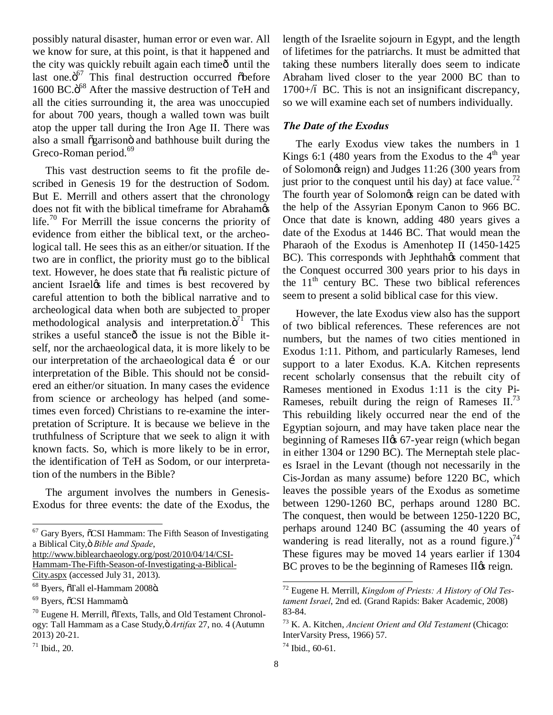possibly natural disaster, human error or even war. All we know for sure, at this point, is that it happened and the city was quickly rebuilt again each time ountil the last one.<sup>67</sup> This final destruction occurred õbefore 1600 BC.<sup>68</sup> After the massive destruction of TeH and all the cities surrounding it, the area was unoccupied for about 700 years, though a walled town was built atop the upper tall during the Iron Age II. There was also a small õgarrisonö and bathhouse built during the Greco-Roman period.<sup>69</sup>

This vast destruction seems to fit the profile described in Genesis 19 for the destruction of Sodom. But E. Merrill and others assert that the chronology does not fit with the biblical timeframe for Abrahamøs life.<sup>70</sup> For Merrill the issue concerns the priority of evidence from either the biblical text, or the archeological tall. He sees this as an either/or situation. If the two are in conflict, the priority must go to the biblical text. However, he does state that  $\tilde{a}$  realistic picture of ancient Israeløs life and times is best recovered by careful attention to both the biblical narrative and to archeological data when both are subjected to proper methodological analysis and interpretation. $\ddot{o}^{7f}$  This strikes a useful stance o the issue is not the Bible itself, nor the archaeological data, it is more likely to be our interpretation of the archaeological data i or our interpretation of the Bible. This should not be considered an either/or situation. In many cases the evidence from science or archeology has helped (and sometimes even forced) Christians to re-examine the interpretation of Scripture. It is because we believe in the truthfulness of Scripture that we seek to align it with known facts. So, which is more likely to be in error, the identification of TeH as Sodom, or our interpretation of the numbers in the Bible?

The argument involves the numbers in Genesis-Exodus for three events: the date of the Exodus, the

 $67$  Gary Byers,  $\delta$ CSI Hammam: The Fifth Season of Investigating a Biblical City," *Bible and Spade*,

http://www.biblearchaeology.org/post/2010/04/14/CSI-

Hammam-The-Fifth-Season-of-Investigating-a-Biblical-

City.aspx (accessed July 31, 2013).

length of the Israelite sojourn in Egypt, and the length of lifetimes for the patriarchs. It must be admitted that taking these numbers literally does seem to indicate Abraham lived closer to the year 2000 BC than to  $1700+\text{/}6$  BC. This is not an insignificant discrepancy, so we will examine each set of numbers individually.

#### *The Date of the Exodus*

The early Exodus view takes the numbers in 1 Kings 6:1 (480 years from the Exodus to the  $4<sup>th</sup>$  year of Solomon's reign) and Judges 11:26 (300 years from just prior to the conquest until his day) at face value.<sup>72</sup> The fourth year of Solomon<sub>*s*</sub> reign can be dated with the help of the Assyrian Eponym Canon to 966 BC. Once that date is known, adding 480 years gives a date of the Exodus at 1446 BC. That would mean the Pharaoh of the Exodus is Amenhotep II (1450-1425 BC). This corresponds with Jephthahøs comment that the Conquest occurred 300 years prior to his days in the  $11<sup>th</sup>$  century BC. These two biblical references seem to present a solid biblical case for this view.

However, the late Exodus view also has the support of two biblical references. These references are not numbers, but the names of two cities mentioned in Exodus 1:11. Pithom, and particularly Rameses, lend support to a later Exodus. K.A. Kitchen represents recent scholarly consensus that the rebuilt city of Rameses mentioned in Exodus 1:11 is the city Pi-Rameses, rebuilt during the reign of Rameses  $II^{73}$ . This rebuilding likely occurred near the end of the Egyptian sojourn, and may have taken place near the beginning of Rameses II $\alpha$  67-year reign (which began in either 1304 or 1290 BC). The Merneptah stele places Israel in the Levant (though not necessarily in the Cis-Jordan as many assume) before 1220 BC, which leaves the possible years of the Exodus as sometime between 1290-1260 BC, perhaps around 1280 BC. The conquest, then would be between 1250-1220 BC, perhaps around 1240 BC (assuming the 40 years of wandering is read literally, not as a round figure.)<sup>74</sup> These figures may be moved 14 years earlier if 1304 BC proves to be the beginning of Rameses II $\alpha$  reign.

 $68$  Byers,  $\tilde{o}$ Tall el-Hammam 2008 $\ddot{o}$ .

<sup>&</sup>lt;sup>69</sup> Byers, õCSI Hammamö.

 $70$  Eugene H. Merrill,  $\tilde{O}$ Texts, Talls, and Old Testament Chronology: Tall Hammam as a Case Study," *Artifax* 27, no. 4 (Autumn 2013) 20-21.

 $71$  Ibid., 20.

 <sup>72</sup> Eugene H. Merrill, *Kingdom of Priests: A History of Old Testament Israel*, 2nd ed. (Grand Rapids: Baker Academic, 2008) 83-84.

<sup>73</sup> K. A. Kitchen, *Ancient Orient and Old Testament* (Chicago: InterVarsity Press, 1966) 57.

 $74$  Ibid., 60-61.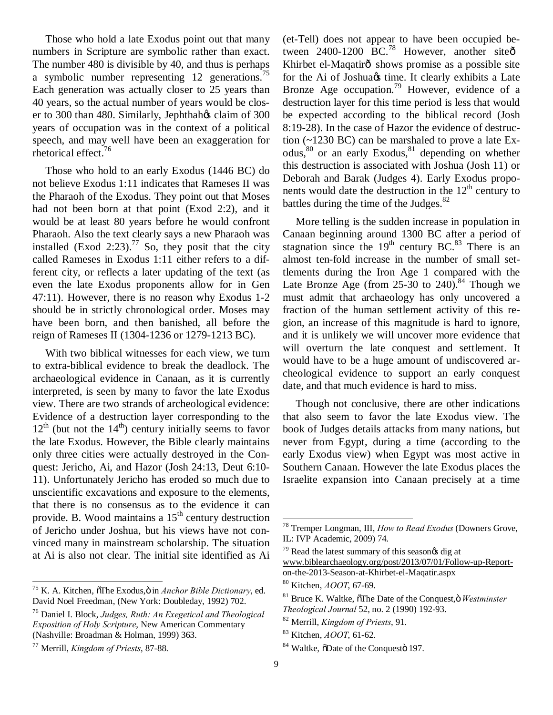Those who hold a late Exodus point out that many numbers in Scripture are symbolic rather than exact. The number 480 is divisible by 40, and thus is perhaps a symbolic number representing 12 generations.<sup>15</sup> Each generation was actually closer to 25 years than 40 years, so the actual number of years would be closer to 300 than 480. Similarly, Jephthahos claim of 300 years of occupation was in the context of a political speech, and may well have been an exaggeration for rhetorical effect.76

Those who hold to an early Exodus (1446 BC) do not believe Exodus 1:11 indicates that Rameses II was the Pharaoh of the Exodus. They point out that Moses had not been born at that point (Exod 2:2), and it would be at least 80 years before he would confront Pharaoh. Also the text clearly says a new Pharaoh was installed (Exod 2:23).<sup>77</sup> So, they posit that the city called Rameses in Exodus 1:11 either refers to a different city, or reflects a later updating of the text (as even the late Exodus proponents allow for in Gen 47:11). However, there is no reason why Exodus 1-2 should be in strictly chronological order. Moses may have been born, and then banished, all before the reign of Rameses II (1304-1236 or 1279-1213 BC).

With two biblical witnesses for each view, we turn to extra-biblical evidence to break the deadlock. The archaeological evidence in Canaan, as it is currently interpreted, is seen by many to favor the late Exodus view. There are two strands of archeological evidence: Evidence of a destruction layer corresponding to the  $12<sup>th</sup>$  (but not the  $14<sup>th</sup>$ ) century initially seems to favor the late Exodus. However, the Bible clearly maintains only three cities were actually destroyed in the Conquest: Jericho, Ai, and Hazor (Josh 24:13, Deut 6:10- 11). Unfortunately Jericho has eroded so much due to unscientific excavations and exposure to the elements, that there is no consensus as to the evidence it can provide. B. Wood maintains a  $15<sup>th</sup>$  century destruction of Jericho under Joshua, but his views have not convinced many in mainstream scholarship. The situation at Ai is also not clear. The initial site identified as Ai

<sup>75</sup> K. A. Kitchen,  $\tilde{o}$ The Exodus, $\tilde{o}$  in *Anchor Bible Dictionary*, ed. David Noel Freedman, (New York: Doubleday, 1992) 702.

(et-Tell) does not appear to have been occupied between  $2400-1200$  BC.<sup>78</sup> However, another site $\hat{\sigma}$ Khirbet el-Maqatirô shows promise as a possible site for the Ai of Joshua & time. It clearly exhibits a Late Bronze Age occupation.<sup>79</sup> However, evidence of a destruction layer for this time period is less that would be expected according to the biblical record (Josh 8:19-28). In the case of Hazor the evidence of destruction (~1230 BC) can be marshaled to prove a late Exodus, $80$  or an early Exodus, $81$  depending on whether this destruction is associated with Joshua (Josh 11) or Deborah and Barak (Judges 4). Early Exodus proponents would date the destruction in the  $12<sup>th</sup>$  century to battles during the time of the Judges.<sup>82</sup>

More telling is the sudden increase in population in Canaan beginning around 1300 BC after a period of stagnation since the  $19<sup>th</sup>$  century BC.<sup>83</sup> There is an almost ten-fold increase in the number of small settlements during the Iron Age 1 compared with the Late Bronze Age (from  $25-30$  to  $240$ ).<sup>84</sup> Though we must admit that archaeology has only uncovered a fraction of the human settlement activity of this region, an increase of this magnitude is hard to ignore, and it is unlikely we will uncover more evidence that will overturn the late conquest and settlement. It would have to be a huge amount of undiscovered archeological evidence to support an early conquest date, and that much evidence is hard to miss.

Though not conclusive, there are other indications that also seem to favor the late Exodus view. The book of Judges details attacks from many nations, but never from Egypt, during a time (according to the early Exodus view) when Egypt was most active in Southern Canaan. However the late Exodus places the Israelite expansion into Canaan precisely at a time

<sup>76</sup> Daniel I. Block, *Judges, Ruth: An Exegetical and Theological Exposition of Holy Scripture*, New American Commentary (Nashville: Broadman & Holman, 1999) 363.

<sup>77</sup> Merrill, *Kingdom of Priests*, 87-88.

 <sup>78</sup> Tremper Longman, III, *How to Read Exodus* (Downers Grove, IL: IVP Academic, 2009) 74.

 $79$  Read the latest summary of this season $\alpha$  dig at www.biblearchaeology.org/post/2013/07/01/Follow-up-Reporton-the-2013-Season-at-Khirbet-el-Maqatir.aspx

<sup>80</sup> Kitchen, *AOOT*, 67-69.

<sup>&</sup>lt;sup>81</sup> Bruce K. Waltke,  $\delta$ The Date of the Conquest,  $\delta$  *Westminster Theological Journal* 52, no. 2 (1990) 192-93.

<sup>82</sup> Merrill, *Kingdom of Priests*, 91.

<sup>83</sup> Kitchen, *AOOT*, 61-62.

<sup>&</sup>lt;sup>84</sup> Waltke,  $\delta$ Date of the Conquesto 197.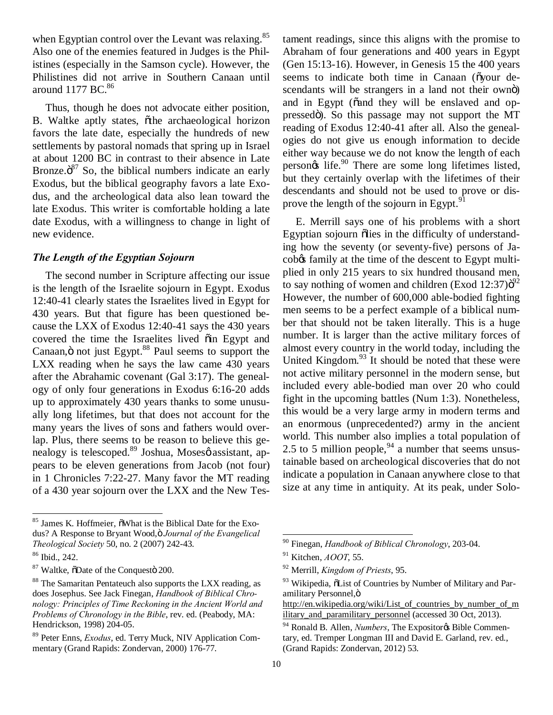when Egyptian control over the Levant was relaxing.<sup>85</sup> Also one of the enemies featured in Judges is the Philistines (especially in the Samson cycle). However, the Philistines did not arrive in Southern Canaan until around  $1177$  BC. $86$ 

Thus, though he does not advocate either position, B. Waltke aptly states, othe archaeological horizon favors the late date, especially the hundreds of new settlements by pastoral nomads that spring up in Israel at about 1200 BC in contrast to their absence in Late Bronze. $\ddot{o}^{87}$  So, the biblical numbers indicate an early Exodus, but the biblical geography favors a late Exodus, and the archeological data also lean toward the late Exodus. This writer is comfortable holding a late date Exodus, with a willingness to change in light of new evidence.

#### *The Length of the Egyptian Sojourn*

The second number in Scripture affecting our issue is the length of the Israelite sojourn in Egypt. Exodus 12:40-41 clearly states the Israelites lived in Egypt for 430 years. But that figure has been questioned because the LXX of Exodus 12:40-41 says the 430 years covered the time the Israelites lived  $\ddot{o}$  in Egypt and Canaan, $\ddot{\text{o}}$  not just Egypt.<sup>88</sup> Paul seems to support the LXX reading when he says the law came 430 years after the Abrahamic covenant (Gal 3:17). The genealogy of only four generations in Exodus 6:16-20 adds up to approximately 430 years thanks to some unusually long lifetimes, but that does not account for the many years the lives of sons and fathers would overlap. Plus, there seems to be reason to believe this genealogy is telescoped.<sup>89</sup> Joshua, Moses' assistant, appears to be eleven generations from Jacob (not four) in 1 Chronicles 7:22-27. Many favor the MT reading of a 430 year sojourn over the LXX and the New Tes-

tament readings, since this aligns with the promise to Abraham of four generations and 400 years in Egypt (Gen 15:13-16). However, in Genesis 15 the 400 years seems to indicate both time in Canaan ( $\tilde{\text{o}}$ your descendants will be strangers in a land not their ownö) and in Egypt ( $\ddot{\text{o}}$  and they will be enslaved and oppressedö). So this passage may not support the MT reading of Exodus 12:40-41 after all. Also the genealogies do not give us enough information to decide either way because we do not know the length of each person $\&$  life.<sup>90</sup> There are some long lifetimes listed, but they certainly overlap with the lifetimes of their descendants and should not be used to prove or disprove the length of the sojourn in Egypt.<sup>91</sup>

E. Merrill says one of his problems with a short Egyptian sojourn õlies in the difficulty of understanding how the seventy (or seventy-five) persons of Jacobos family at the time of the descent to Egypt multiplied in only 215 years to six hundred thousand men, to say nothing of women and children (Exod  $12:37$ ) $\ddot{\sigma}^2$ However, the number of 600,000 able-bodied fighting men seems to be a perfect example of a biblical number that should not be taken literally. This is a huge number. It is larger than the active military forces of almost every country in the world today, including the United Kingdom. $93$  It should be noted that these were not active military personnel in the modern sense, but included every able-bodied man over 20 who could fight in the upcoming battles (Num 1:3). Nonetheless, this would be a very large army in modern terms and an enormous (unprecedented?) army in the ancient world. This number also implies a total population of 2.5 to 5 million people,  $94$  a number that seems unsustainable based on archeological discoveries that do not indicate a population in Canaan anywhere close to that size at any time in antiquity. At its peak, under Solo-

<sup>&</sup>lt;sup>85</sup> James K. Hoffmeier,  $\delta$ What is the Biblical Date for the Exodus? A Response to Bryant Wood, ö *Journal of the Evangelical Theological Society* 50, no. 2 (2007) 242-43.

<sup>86</sup> Ibid., 242.

 $87$  Waltke,  $\delta$ Date of the Conquest $\delta$  200.

<sup>&</sup>lt;sup>88</sup> The Samaritan Pentateuch also supports the LXX reading, as does Josephus. See Jack Finegan, *Handbook of Biblical Chronology: Principles of Time Reckoning in the Ancient World and Problems of Chronology in the Bible*, rev. ed. (Peabody, MA: Hendrickson, 1998) 204-05.

<sup>89</sup> Peter Enns, *Exodus*, ed. Terry Muck, NIV Application Commentary (Grand Rapids: Zondervan, 2000) 176-77.

 <sup>90</sup> Finegan, *Handbook of Biblical Chronology*, 203-04.

<sup>91</sup> Kitchen, *AOOT*, 55.

<sup>92</sup> Merrill, *Kingdom of Priests*, 95.

<sup>&</sup>lt;sup>93</sup> Wikipedia,  $\tilde{o}$ List of Countries by Number of Military and Paramilitary Personnel, ö

http://en.wikipedia.org/wiki/List\_of\_countries\_by\_number\_of\_m ilitary\_and\_paramilitary\_personnel (accessed 30 Oct, 2013).

<sup>&</sup>lt;sup>94</sup> Ronald B. Allen, *Numbers*, The Expositor & Bible Commentary, ed. Tremper Longman III and David E. Garland, rev. ed., (Grand Rapids: Zondervan, 2012) 53.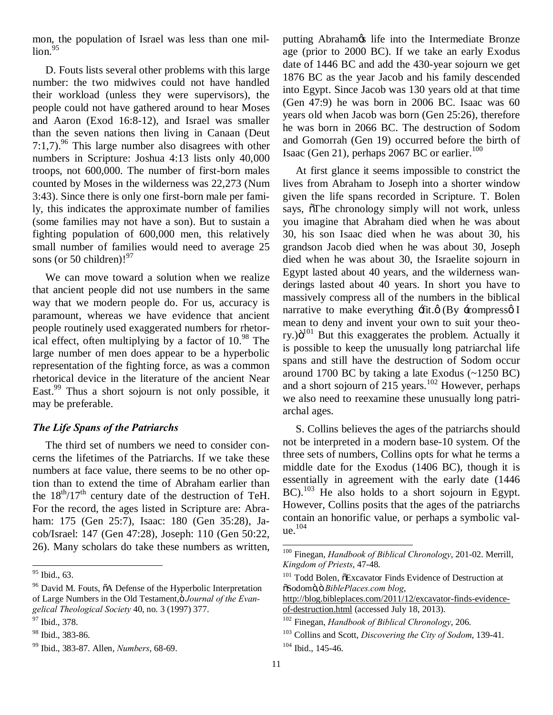mon, the population of Israel was less than one mil- $\ln 95$ 

D. Fouts lists several other problems with this large number: the two midwives could not have handled their workload (unless they were supervisors), the people could not have gathered around to hear Moses and Aaron (Exod 16:8-12), and Israel was smaller than the seven nations then living in Canaan (Deut 7:1,7).<sup>96</sup> This large number also disagrees with other numbers in Scripture: Joshua 4:13 lists only 40,000 troops, not 600,000. The number of first-born males counted by Moses in the wilderness was 22,273 (Num 3:43). Since there is only one first-born male per family, this indicates the approximate number of families (some families may not have a son). But to sustain a fighting population of 600,000 men, this relatively small number of families would need to average 25 sons (or 50 children)! $97$ 

We can move toward a solution when we realize that ancient people did not use numbers in the same way that we modern people do. For us, accuracy is paramount, whereas we have evidence that ancient people routinely used exaggerated numbers for rhetorical effect, often multiplying by a factor of  $10^{98}$ . The large number of men does appear to be a hyperbolic representation of the fighting force, as was a common rhetorical device in the literature of the ancient Near East.<sup>99</sup> Thus a short sojourn is not only possible, it may be preferable.

#### *The Life Spans of the Patriarchs*

The third set of numbers we need to consider concerns the lifetimes of the Patriarchs. If we take these numbers at face value, there seems to be no other option than to extend the time of Abraham earlier than the  $18<sup>th</sup>/17<sup>th</sup>$  century date of the destruction of TeH. For the record, the ages listed in Scripture are: Abraham: 175 (Gen 25:7), Isaac: 180 (Gen 35:28), Jacob/Israel: 147 (Gen 47:28), Joseph: 110 (Gen 50:22, 26). Many scholars do take these numbers as written, putting Abraham $\alpha$  life into the Intermediate Bronze age (prior to 2000 BC). If we take an early Exodus date of 1446 BC and add the 430-year sojourn we get 1876 BC as the year Jacob and his family descended into Egypt. Since Jacob was 130 years old at that time (Gen 47:9) he was born in 2006 BC. Isaac was 60 years old when Jacob was born (Gen 25:26), therefore he was born in 2066 BC. The destruction of Sodom and Gomorrah (Gen 19) occurred before the birth of Isaac (Gen 21), perhaps 2067 BC or earlier.<sup>100</sup>

At first glance it seems impossible to constrict the lives from Abraham to Joseph into a shorter window given the life spans recorded in Scripture. T. Bolen says, othe chronology simply will not work, unless you imagine that Abraham died when he was about 30, his son Isaac died when he was about 30, his grandson Jacob died when he was about 30, Joseph died when he was about 30, the Israelite sojourn in Egypt lasted about 40 years, and the wilderness wanderings lasted about 40 years. In short you have to massively compress all of the numbers in the biblical narrative to make everything  $\pm \int$ it. $\phi$  (By  $\pm$ compress $\phi$  I mean to deny and invent your own to suit your theory.) $\ddot{o}^{101}$  But this exaggerates the problem. Actually it is possible to keep the unusually long patriarchal life spans and still have the destruction of Sodom occur around 1700 BC by taking a late Exodus (~1250 BC) and a short sojourn of  $215$  years.<sup>102</sup> However, perhaps we also need to reexamine these unusually long patriarchal ages.

S. Collins believes the ages of the patriarchs should not be interpreted in a modern base-10 system. Of the three sets of numbers, Collins opts for what he terms a middle date for the Exodus (1406 BC), though it is essentially in agreement with the early date (1446 BC).<sup>103</sup> He also holds to a short sojourn in Egypt. However, Collins posits that the ages of the patriarchs contain an honorific value, or perhaps a symbolic value.<sup>104</sup>

<sup>&</sup>lt;sup>95</sup> Ibid., 63.

 $96$  David M. Fouts,  $\ddot{\text{o}}$ A Defense of the Hyperbolic Interpretation of Large Numbers in the Old Testament, *ö Journal of the Evangelical Theological Society* 40, no. 3 (1997) 377.

<sup>97</sup> Ibid., 378.

<sup>98</sup> Ibid., 383-86.

<sup>99</sup> Ibid., 383-87. Allen, *Numbers*, 68-69.

 <sup>100</sup> Finegan, *Handbook of Biblical Chronology*, 201-02. Merrill, *Kingdom of Priests*, 47-48.

<sup>&</sup>lt;sup>101</sup> Todd Bolen,  $\tilde{o}$ Excavator Finds Evidence of Destruction at "Sodom"," *BiblePlaces.com blog*,

http://blog.bibleplaces.com/2011/12/excavator-finds-evidenceof-destruction.html (accessed July 18, 2013).

<sup>102</sup> Finegan, *Handbook of Biblical Chronology*, 206.

<sup>103</sup> Collins and Scott, *Discovering the City of Sodom*, 139-41.  $104$  Ibid., 145-46.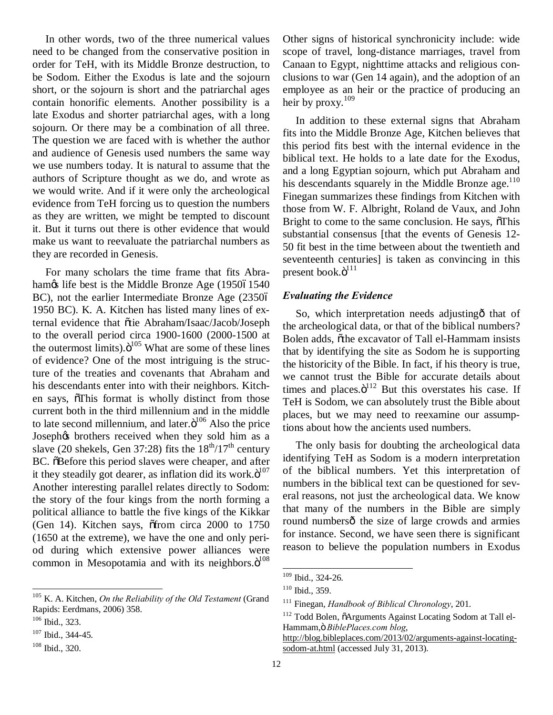In other words, two of the three numerical values need to be changed from the conservative position in order for TeH, with its Middle Bronze destruction, to be Sodom. Either the Exodus is late and the sojourn short, or the sojourn is short and the patriarchal ages contain honorific elements. Another possibility is a late Exodus and shorter patriarchal ages, with a long sojourn. Or there may be a combination of all three. The question we are faced with is whether the author and audience of Genesis used numbers the same way we use numbers today. It is natural to assume that the authors of Scripture thought as we do, and wrote as we would write. And if it were only the archeological evidence from TeH forcing us to question the numbers as they are written, we might be tempted to discount it. But it turns out there is other evidence that would make us want to reevaluate the patriarchal numbers as they are recorded in Genesis.

For many scholars the time frame that fits Abraham $\alpha$  life best is the Middle Bronze Age (195061540) BC), not the earlier Intermediate Bronze Age (23506 1950 BC). K. A. Kitchen has listed many lines of external evidence that õtie Abraham/Isaac/Jacob/Joseph to the overall period circa 1900-1600 (2000-1500 at the outermost limits). $\ddot{o}^{105}$  What are some of these lines of evidence? One of the most intriguing is the structure of the treaties and covenants that Abraham and his descendants enter into with their neighbors. Kitchen says,  $\delta$ This format is wholly distinct from those current both in the third millennium and in the middle to late second millennium, and later. $\ddot{o}^{106}$  Also the price Joseph $\alpha$  brothers received when they sold him as a slave (20 shekels, Gen 37:28) fits the  $18^{th}/17^{th}$  century BC.  $\delta$ Before this period slaves were cheaper, and after it they steadily got dearer, as inflation did its work. $\ddot{o}^{107}$ Another interesting parallel relates directly to Sodom: the story of the four kings from the north forming a political alliance to battle the five kings of the Kikkar (Gen 14). Kitchen says,  $\delta$ from circa 2000 to 1750 (1650 at the extreme), we have the one and only period during which extensive power alliances were common in Mesopotamia and with its neighbors. $\ddot{o}^{108}$ 

 105 K. A. Kitchen, *On the Reliability of the Old Testament* (Grand Rapids: Eerdmans, 2006) 358.

Other signs of historical synchronicity include: wide scope of travel, long-distance marriages, travel from Canaan to Egypt, nighttime attacks and religious conclusions to war (Gen 14 again), and the adoption of an employee as an heir or the practice of producing an heir by proxy. $109$ 

In addition to these external signs that Abraham fits into the Middle Bronze Age, Kitchen believes that this period fits best with the internal evidence in the biblical text. He holds to a late date for the Exodus, and a long Egyptian sojourn, which put Abraham and his descendants squarely in the Middle Bronze age. $110$ Finegan summarizes these findings from Kitchen with those from W. F. Albright, Roland de Vaux, and John Bright to come to the same conclusion. He says,  $\delta$ This substantial consensus [that the events of Genesis 12- 50 fit best in the time between about the twentieth and seventeenth centuries] is taken as convincing in this present book. $\ddot{\mathrm{o}}^{111}$ 

#### *Evaluating the Evidence*

So, which interpretation needs adjusting othat of the archeological data, or that of the biblical numbers? Bolen adds, othe excavator of Tall el-Hammam insists that by identifying the site as Sodom he is supporting the historicity of the Bible. In fact, if his theory is true, we cannot trust the Bible for accurate details about times and places. $\ddot{o}^{112}$  But this overstates his case. If TeH is Sodom, we can absolutely trust the Bible about places, but we may need to reexamine our assumptions about how the ancients used numbers.

The only basis for doubting the archeological data identifying TeH as Sodom is a modern interpretation of the biblical numbers. Yet this interpretation of numbers in the biblical text can be questioned for several reasons, not just the archeological data. We know that many of the numbers in the Bible are simply round numbersô the size of large crowds and armies for instance. Second, we have seen there is significant reason to believe the population numbers in Exodus

<sup>106</sup> Ibid., 323.

<sup>&</sup>lt;sup>107</sup> Ibid., 344-45.

<sup>108</sup> Ibid., 320.

 <sup>109</sup> Ibid., 324-26.

<sup>110</sup> Ibid., 359.

<sup>111</sup> Finegan, *Handbook of Biblical Chronology*, 201.

<sup>&</sup>lt;sup>112</sup> Todd Bolen,  $\tilde{o}$ Arguments Against Locating Sodom at Tall el-Hammam," *BiblePlaces.com blog*,

http://blog.bibleplaces.com/2013/02/arguments-against-locatingsodom-at.html (accessed July 31, 2013).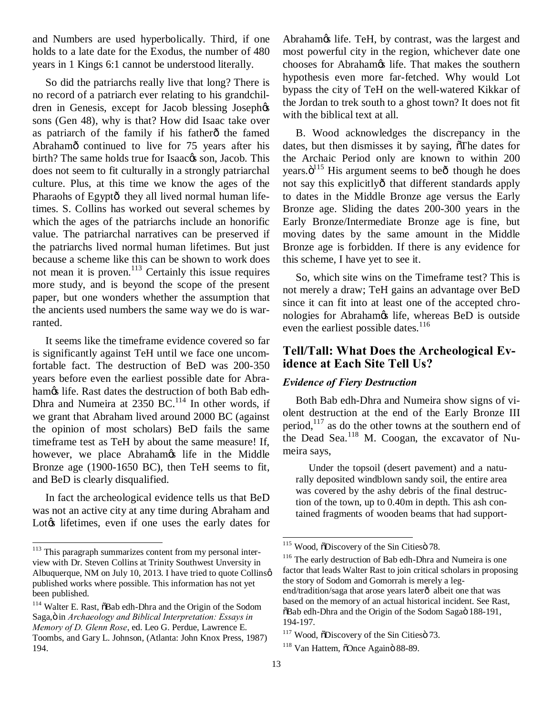and Numbers are used hyperbolically. Third, if one holds to a late date for the Exodus, the number of 480 years in 1 Kings 6:1 cannot be understood literally.

So did the patriarchs really live that long? There is no record of a patriarch ever relating to his grandchildren in Genesis, except for Jacob blessing Joseph $\alpha$ sons (Gen 48), why is that? How did Isaac take over as patriarch of the family if his fatherô the famed Abrahamô continued to live for 75 years after his birth? The same holds true for Isaac $\alpha$ s son, Jacob. This does not seem to fit culturally in a strongly patriarchal culture. Plus, at this time we know the ages of the Pharaohs of Egyptô they all lived normal human lifetimes. S. Collins has worked out several schemes by which the ages of the patriarchs include an honorific value. The patriarchal narratives can be preserved if the patriarchs lived normal human lifetimes. But just because a scheme like this can be shown to work does not mean it is proven.<sup>113</sup> Certainly this issue requires more study, and is beyond the scope of the present paper, but one wonders whether the assumption that the ancients used numbers the same way we do is warranted.

It seems like the timeframe evidence covered so far is significantly against TeH until we face one uncomfortable fact. The destruction of BeD was 200-350 years before even the earliest possible date for Abrahamøs life. Rast dates the destruction of both Bab edh-Dhra and Numeira at 2350 BC.<sup>114</sup> In other words, if we grant that Abraham lived around 2000 BC (against the opinion of most scholars) BeD fails the same timeframe test as TeH by about the same measure! If, however, we place Abrahamos life in the Middle Bronze age (1900-1650 BC), then TeH seems to fit, and BeD is clearly disqualified.

In fact the archeological evidence tells us that BeD was not an active city at any time during Abraham and Lot $\&$  lifetimes, even if one uses the early dates for Abraham $\alpha$  life. TeH, by contrast, was the largest and most powerful city in the region, whichever date one chooses for Abrahamøs life. That makes the southern hypothesis even more far-fetched. Why would Lot bypass the city of TeH on the well-watered Kikkar of the Jordan to trek south to a ghost town? It does not fit with the biblical text at all.

B. Wood acknowledges the discrepancy in the dates, but then dismisses it by saying,  $\delta$ The dates for the Archaic Period only are known to within 200 years. $\ddot{\mathrm{o}}^{115}$  His argument seems to be $\ddot{\mathrm{o}}$  though he does not say this explicitlyô that different standards apply to dates in the Middle Bronze age versus the Early Bronze age. Sliding the dates 200-300 years in the Early Bronze/Intermediate Bronze age is fine, but moving dates by the same amount in the Middle Bronze age is forbidden. If there is any evidence for this scheme, I have yet to see it.

So, which site wins on the Timeframe test? This is not merely a draw; TeH gains an advantage over BeD since it can fit into at least one of the accepted chronologies for Abrahamos life, whereas BeD is outside even the earliest possible dates.<sup>116</sup>

#### **Tell/Tall: What Does the Archeological Evidence at Each Site Tell Us?**

#### *Evidence of Fiery Destruction*

Both Bab edh-Dhra and Numeira show signs of violent destruction at the end of the Early Bronze III period, $117$  as do the other towns at the southern end of the Dead Sea.<sup>118</sup> M. Coogan, the excavator of Numeira says,

Under the topsoil (desert pavement) and a naturally deposited windblown sandy soil, the entire area was covered by the ashy debris of the final destruction of the town, up to 0.40m in depth. This ash contained fragments of wooden beams that had support-

<sup>&</sup>lt;sup>113</sup> This paragraph summarizes content from my personal interview with Dr. Steven Collins at Trinity Southwest Unversity in Albuquerque, NM on July 10, 2013. I have tried to quote Collinsø published works where possible. This information has not yet been published.

<sup>&</sup>lt;sup>114</sup> Walter E. Rast,  $\tilde{o}$ Bab edh-Dhra and the Origin of the Sodom Saga," in *Archaeology and Biblical Interpretation: Essays in Memory of D. Glenn Rose*, ed. Leo G. Perdue, Lawrence E. Toombs, and Gary L. Johnson, (Atlanta: John Knox Press, 1987) 194.

<sup>&</sup>lt;sup>115</sup> Wood,  $\delta$ Discovery of the Sin Cities 78.

<sup>&</sup>lt;sup>116</sup> The early destruction of Bab edh-Dhra and Numeira is one factor that leads Walter Rast to join critical scholars in proposing the story of Sodom and Gomorrah is merely a legend/tradition/saga that arose years laterô albeit one that was based on the memory of an actual historical incident. See Rast,  $\delta$ Bab edh-Dhra and the Origin of the Sodom Sagaö 188-191, 194-197.

 $117$  Wood,  $\delta$ Discovery of the Sin Cities  $\delta$  73.

<sup>&</sup>lt;sup>118</sup> Van Hattem, õOnce Againö 88-89.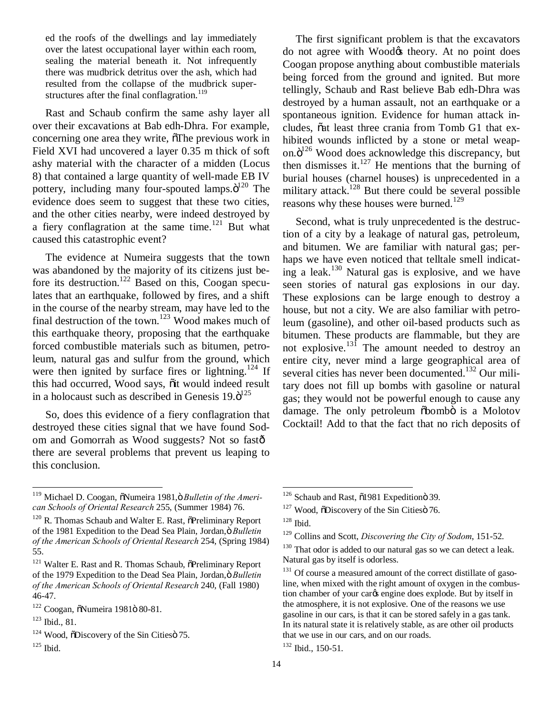ed the roofs of the dwellings and lay immediately over the latest occupational layer within each room, sealing the material beneath it. Not infrequently there was mudbrick detritus over the ash, which had resulted from the collapse of the mudbrick superstructures after the final conflagration.<sup>119</sup>

Rast and Schaub confirm the same ashy layer all over their excavations at Bab edh-Dhra. For example, concerning one area they write,  $\delta$ The previous work in Field XVI had uncovered a layer 0.35 m thick of soft ashy material with the character of a midden (Locus 8) that contained a large quantity of well-made EB IV pottery, including many four-spouted lamps. $\ddot{o}^{120}$  The evidence does seem to suggest that these two cities, and the other cities nearby, were indeed destroyed by a fiery conflagration at the same time. $121$  But what caused this catastrophic event?

The evidence at Numeira suggests that the town was abandoned by the majority of its citizens just before its destruction.<sup>122</sup> Based on this, Coogan speculates that an earthquake, followed by fires, and a shift in the course of the nearby stream, may have led to the final destruction of the town.<sup>123</sup> Wood makes much of this earthquake theory, proposing that the earthquake forced combustible materials such as bitumen, petroleum, natural gas and sulfur from the ground, which were then ignited by surface fires or lightning.<sup>124</sup> If this had occurred, Wood says,  $\ddot{o}$ it would indeed result in a holocaust such as described in Genesis  $19.6^{125}$ 

So, does this evidence of a fiery conflagration that destroyed these cities signal that we have found Sodom and Gomorrah as Wood suggests? Not so fast there are several problems that prevent us leaping to this conclusion.

The first significant problem is that the excavators do not agree with Wood& theory. At no point does Coogan propose anything about combustible materials being forced from the ground and ignited. But more tellingly, Schaub and Rast believe Bab edh-Dhra was destroyed by a human assault, not an earthquake or a spontaneous ignition. Evidence for human attack includes, õat least three crania from Tomb G1 that exhibited wounds inflicted by a stone or metal weapon. $\ddot{o}^{126}$  Wood does acknowledge this discrepancy, but then dismisses it. $127$  He mentions that the burning of burial houses (charnel houses) is unprecedented in a military attack.<sup>128</sup> But there could be several possible reasons why these houses were burned.<sup>129</sup>

Second, what is truly unprecedented is the destruction of a city by a leakage of natural gas, petroleum, and bitumen. We are familiar with natural gas; perhaps we have even noticed that telltale smell indicating a leak.<sup>130</sup> Natural gas is explosive, and we have seen stories of natural gas explosions in our day. These explosions can be large enough to destroy a house, but not a city. We are also familiar with petroleum (gasoline), and other oil-based products such as bitumen. These products are flammable, but they are not explosive.<sup>131</sup> The amount needed to destroy an entire city, never mind a large geographical area of several cities has never been documented.<sup>132</sup> Our military does not fill up bombs with gasoline or natural gas; they would not be powerful enough to cause any damage. The only petroleum  $\delta$ bombö is a Molotov Cocktail! Add to that the fact that no rich deposits of

<sup>&</sup>lt;sup>119</sup> Michael D. Coogan, õNumeira 1981,ö Bulletin of the Ameri*can Schools of Oriental Research* 255, (Summer 1984) 76.

 $120$  R. Thomas Schaub and Walter E. Rast,  $\tilde{O}$ Preliminary Report of the 1981 Expedition to the Dead Sea Plain, Jordan, ö Bulletin *of the American Schools of Oriental Research* 254, (Spring 1984) 55.

<sup>&</sup>lt;sup>121</sup> Walter E. Rast and R. Thomas Schaub,  $\tilde{O}$ Preliminary Report of the 1979 Expedition to the Dead Sea Plain, Jordan, ö Bulletin *of the American Schools of Oriental Research* 240, (Fall 1980) 46-47.

 $122$  Coogan,  $\delta$ Numeira 1981 $\ddot{o}$  80-81.

<sup>123</sup> Ibid., 81.

 $124$  Wood,  $\delta$ Discovery of the Sin Cities  $\delta$  75.

 $125$  Ibid.

<sup>&</sup>lt;sup>126</sup> Schaub and Rast,  $\tilde{0}1981$  Expedition 39.

 $127$  Wood,  $\delta$ Discovery of the Sin Cities  $\delta$  76.

 $128$  Ibid.

<sup>129</sup> Collins and Scott, *Discovering the City of Sodom*, 151-52.

<sup>&</sup>lt;sup>130</sup> That odor is added to our natural gas so we can detect a leak. Natural gas by itself is odorless.

<sup>&</sup>lt;sup>131</sup> Of course a measured amount of the correct distillate of gasoline, when mixed with the right amount of oxygen in the combustion chamber of your carcs engine does explode. But by itself in the atmosphere, it is not explosive. One of the reasons we use gasoline in our cars, is that it can be stored safely in a gas tank. In its natural state it is relatively stable, as are other oil products that we use in our cars, and on our roads.

<sup>132</sup> Ibid., 150-51.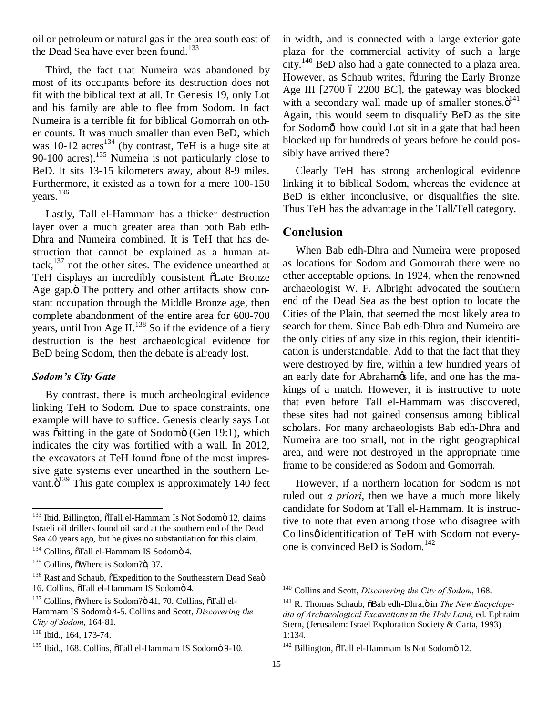oil or petroleum or natural gas in the area south east of the Dead Sea have ever been found.<sup>133</sup>

Third, the fact that Numeira was abandoned by most of its occupants before its destruction does not fit with the biblical text at all. In Genesis 19, only Lot and his family are able to flee from Sodom. In fact Numeira is a terrible fit for biblical Gomorrah on other counts. It was much smaller than even BeD, which was  $10-12$  acres<sup>134</sup> (by contrast, TeH is a huge site at 90-100 acres).<sup>135</sup> Numeira is not particularly close to BeD. It sits 13-15 kilometers away, about 8-9 miles. Furthermore, it existed as a town for a mere 100-150 years.<sup>136</sup>

Lastly, Tall el-Hammam has a thicker destruction layer over a much greater area than both Bab edh-Dhra and Numeira combined. It is TeH that has destruction that cannot be explained as a human attack, $137$  not the other sites. The evidence unearthed at TeH displays an incredibly consistent  $\tilde{o}$ Late Bronze Age gap. $\ddot{o}$  The pottery and other artifacts show constant occupation through the Middle Bronze age, then complete abandonment of the entire area for 600-700 years, until Iron Age II.<sup>138</sup> So if the evidence of a fiery destruction is the best archaeological evidence for BeD being Sodom, then the debate is already lost.

#### *Sodom's City Gate*

By contrast, there is much archeological evidence linking TeH to Sodom. Due to space constraints, one example will have to suffice. Genesis clearly says Lot was  $\tilde{\text{ositting}}$  in the gate of Sodomö (Gen 19:1), which indicates the city was fortified with a wall. In 2012, the excavators at TeH found õone of the most impressive gate systems ever unearthed in the southern Levant. $\ddot{o}^{139}$  This gate complex is approximately 140 feet in width, and is connected with a large exterior gate plaza for the commercial activity of such a large city.<sup>140</sup> BeD also had a gate connected to a plaza area. However, as Schaub writes,  $\tilde{\text{oduring}}$  the Early Bronze Age III  $[2700 6 2200 BC]$ , the gateway was blocked with a secondary wall made up of smaller stones. $\ddot{o}^{141}$ Again, this would seem to disqualify BeD as the site for Sodomô how could Lot sit in a gate that had been blocked up for hundreds of years before he could possibly have arrived there?

Clearly TeH has strong archeological evidence linking it to biblical Sodom, whereas the evidence at BeD is either inconclusive, or disqualifies the site. Thus TeH has the advantage in the Tall/Tell category.

#### **Conclusion**

When Bab edh-Dhra and Numeira were proposed as locations for Sodom and Gomorrah there were no other acceptable options. In 1924, when the renowned archaeologist W. F. Albright advocated the southern end of the Dead Sea as the best option to locate the Cities of the Plain, that seemed the most likely area to search for them. Since Bab edh-Dhra and Numeira are the only cities of any size in this region, their identification is understandable. Add to that the fact that they were destroyed by fire, within a few hundred years of an early date for Abrahamos life, and one has the makings of a match. However, it is instructive to note that even before Tall el-Hammam was discovered, these sites had not gained consensus among biblical scholars. For many archaeologists Bab edh-Dhra and Numeira are too small, not in the right geographical area, and were not destroyed in the appropriate time frame to be considered as Sodom and Gomorrah.

However, if a northern location for Sodom is not ruled out *a priori*, then we have a much more likely candidate for Sodom at Tall el-Hammam. It is instructive to note that even among those who disagree with Collinsø identification of TeH with Sodom not everyone is convinced BeD is Sodom.<sup>142</sup>

<sup>&</sup>lt;sup>133</sup> Ibid. Billington, õTall el-Hammam Is Not Sodomö 12, claims Israeli oil drillers found oil sand at the southern end of the Dead Sea 40 years ago, but he gives no substantiation for this claim.

<sup>&</sup>lt;sup>134</sup> Collins, õTall el-Hammam IS Sodomö 4.

 $135$  Collins,  $\delta$ Where is Sodom? $\ddot{o}$ , 37.

<sup>&</sup>lt;sup>136</sup> Rast and Schaub,  $\delta$ Expedition to the Southeastern Dead Seaö 16. Collins, õTall el-Hammam IS Sodomö 4.

 $137$  Collins.  $\delta$ Where is Sodom? $\ddot{\sigma}$  41, 70. Collins,  $\delta$ Tall el-

Hammam IS Sodomö 4-5. Collins and Scott, *Discovering the City of Sodom*, 164-81.

<sup>&</sup>lt;sup>138</sup> Ibid., 164, 173-74.

<sup>&</sup>lt;sup>139</sup> Ibid., 168. Collins,  $\tilde{o}$ Tall el-Hammam IS Sodomö 9-10.

 <sup>140</sup> Collins and Scott, *Discovering the City of Sodom*, 168.

<sup>&</sup>lt;sup>141</sup> R. Thomas Schaub,  $\delta$ Bab edh-Dhra, $\ddot{o}$  in *The New Encyclopedia of Archaeological Excavations in the Holy Land*, ed. Ephraim Stern, (Jerusalem: Israel Exploration Society & Carta, 1993) 1:134.

 $142$  Billington,  $\delta$ Tall el-Hammam Is Not Sodomö 12.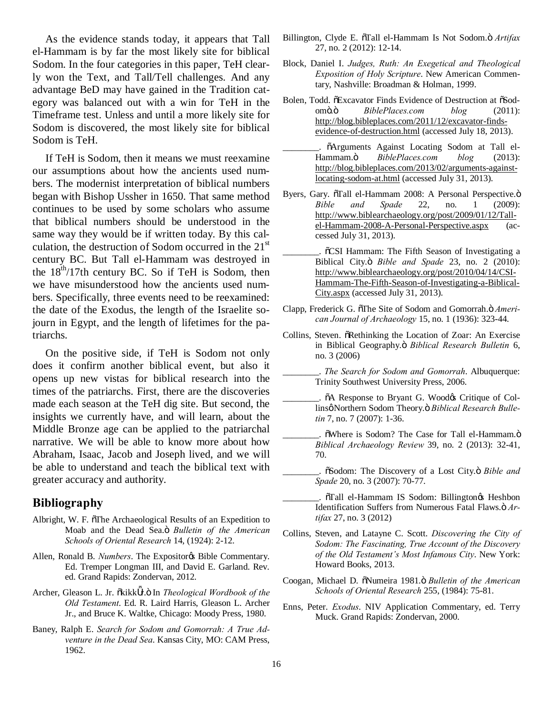As the evidence stands today, it appears that Tall el-Hammam is by far the most likely site for biblical Sodom. In the four categories in this paper, TeH clearly won the Text, and Tall/Tell challenges. And any advantage BeD may have gained in the Tradition category was balanced out with a win for TeH in the Timeframe test. Unless and until a more likely site for Sodom is discovered, the most likely site for biblical Sodom is TeH.

If TeH is Sodom, then it means we must reexamine our assumptions about how the ancients used numbers. The modernist interpretation of biblical numbers began with Bishop Ussher in 1650. That same method continues to be used by some scholars who assume that biblical numbers should be understood in the same way they would be if written today. By this calculation, the destruction of Sodom occurred in the  $21<sup>st</sup>$ century BC. But Tall el-Hammam was destroyed in the  $18<sup>th</sup>/17$ th century BC. So if TeH is Sodom, then we have misunderstood how the ancients used numbers. Specifically, three events need to be reexamined: the date of the Exodus, the length of the Israelite sojourn in Egypt, and the length of lifetimes for the patriarchs.

On the positive side, if TeH is Sodom not only does it confirm another biblical event, but also it opens up new vistas for biblical research into the times of the patriarchs. First, there are the discoveries made each season at the TeH dig site. But second, the insights we currently have, and will learn, about the Middle Bronze age can be applied to the patriarchal narrative. We will be able to know more about how Abraham, Isaac, Jacob and Joseph lived, and we will be able to understand and teach the biblical text with greater accuracy and authority.

#### **Bibliography**

- Albright, W. F. oThe Archaeological Results of an Expedition to Moab and the Dead Sea.<sub>Ö</sub> Bulletin of the American *Schools of Oriental Research* 14, (1924): 2-12.
- Allen, Ronald B. *Numbers*. The Expositor & Bible Commentary. Ed. Tremper Longman III, and David E. Garland. Rev. ed. Grand Rapids: Zondervan, 2012.
- Archer, Gleason L. Jr. õkikk r.ö In *Theological Wordbook of the Old Testament*. Ed. R. Laird Harris, Gleason L. Archer Jr., and Bruce K. Waltke, Chicago: Moody Press, 1980.
- Baney, Ralph E. *Search for Sodom and Gomorrah: A True Adventure in the Dead Sea*. Kansas City, MO: CAM Press, 1962.
- Billington, Clyde E.  $\tilde{o}$ Tall el-Hammam Is Not Sodom. $\ddot{o}$  *Artifax* 27, no. 2 (2012): 12-14.
- Block, Daniel I. *Judges, Ruth: An Exegetical and Theological Exposition of Holy Scripture*. New American Commentary, Nashville: Broadman & Holman, 1999.
- Bolen, Todd. õExcavator Finds Evidence of Destruction at õSodomö.ö *BiblePlaces.com blog* (2011): http://blog.bibleplaces.com/2011/12/excavator-findsevidence-of-destruction.html (accessed July 18, 2013).
- $\tilde{o}$ Arguments Against Locating Sodom at Tall el-Hammam." *BiblePlaces.com blog* (2013): http://blog.bibleplaces.com/2013/02/arguments-againstlocating-sodom-at.html (accessed July 31, 2013).
- Byers, Gary. öTall el-Hammam 2008: A Personal Perspective.ö *Bible and Spade* 22, no. 1 (2009): http://www.biblearchaeology.org/post/2009/01/12/Tallel-Hammam-2008-A-Personal-Perspective.aspx (accessed July 31, 2013).
	- \_\_\_\_\_\_\_\_. "CSI Hammam: The Fifth Season of Investigating a Biblical City." *Bible and Spade* 23, no. 2 (2010): http://www.biblearchaeology.org/post/2010/04/14/CSI-Hammam-The-Fifth-Season-of-Investigating-a-Biblical-City.aspx (accessed July 31, 2013).
- Clapp, Frederick G. oThe Site of Sodom and Gomorrah. Ö Ameri*can Journal of Archaeology* 15, no. 1 (1936): 323-44.
- Collins, Steven.  $\delta$ Rethinking the Location of Zoar: An Exercise in Biblical Geography.<sub>Ö</sub> Biblical Research Bulletin 6, no. 3 (2006)
- \_\_\_\_\_\_\_\_. *The Search for Sodom and Gomorrah*. Albuquerque: Trinity Southwest University Press, 2006.
	- \_\_\_\_\_\_\_\_. "A Response to Bryant G. Wood's Critique of Collinsø Northern Sodom Theory.ö Biblical Research Bulle*tin* 7, no. 7 (2007): 1-36.
- $\tilde{\text{o}}$ Where is Sodom? The Case for Tall el-Hammam. $\ddot{\text{o}}$ *Biblical Archaeology Review* 39, no. 2 (2013): 32-41, 70.
- \_\_\_\_\_\_\_\_. "Sodom: The Discovery of a Lost City." *Bible and Spade* 20, no. 3 (2007): 70-77.
- \_\_\_\_\_\_\_\_. "Tall el-Hammam IS Sodom: Billington's Heshbon Identification Suffers from Numerous Fatal Flaws.  $\ddot{o}$  Ar*tifax* 27, no. 3 (2012)
- Collins, Steven, and Latayne C. Scott. *Discovering the City of Sodom: The Fascinating, True Account of the Discovery of the Old Testament's Most Infamous City*. New York: Howard Books, 2013.
- Coogan, Michael D.  $\tilde{o}$ Numeira 1981. $\tilde{o}$  Bulletin of the American *Schools of Oriental Research* 255, (1984): 75-81.
- Enns, Peter. *Exodus*. NIV Application Commentary, ed. Terry Muck. Grand Rapids: Zondervan, 2000.